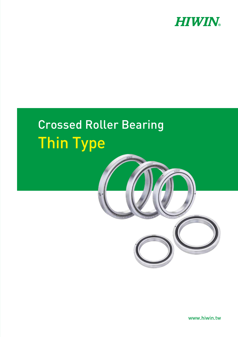

# Crossed Roller Bearing Thin Type



www.hiwin.tw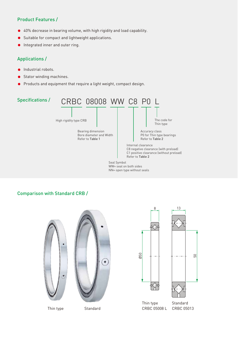## Product Features /

- 40% decrease in bearing volume, with high rigidity and load capability.  $\bullet$
- Suitable for compact and lightweight applications. ė
- Integrated inner and outer ring.  $\bullet$

## Applications /

- **Industrial robots.**
- Stator winding machines.
- Products and equipment that require a light weight, compact design.



WW= seal on both sides NN= open type without seals

## Comparison with Standard CRB /





Thin type

**Standard**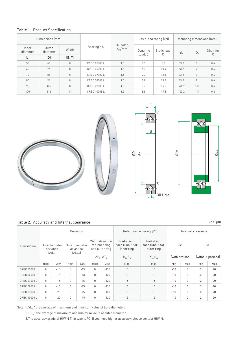|                   | Dimensions (mm)   |        |              | Oil holes,<br>$d_{0H}$ (mm) |                    | Basic load rating (kN)  | Mounting dimensions (mm) |         |              |  |
|-------------------|-------------------|--------|--------------|-----------------------------|--------------------|-------------------------|--------------------------|---------|--------------|--|
| Inner<br>diameter | Outer<br>diameter | Width  | Bearing no.  |                             | Dynamic<br>load, C | Static load.<br>$C_{0}$ | $d_{a}$                  | $D_{a}$ | Chamfer<br>C |  |
| (d)               | (D)               | (B, T) |              |                             |                    |                         |                          |         |              |  |
| 50                | 66                | 8      | CRBC 05008 L | 1.5                         | 6.1                | 8.7                     | 53.2                     | 61      | 0.6          |  |
| 60                | 76                | 8      | CRBC 06008 L | 1.5                         | 6.7                | 10.4                    | 63.2                     | 71      | 0.6          |  |
| 70                | 86                | 8      | CRBC 07008 L | 1.5                         | 7.3                | 12.1                    | 73.2                     | 81      | 0.6          |  |
| 80                | 96                | 8      | CRBC 08008 L | 1.5                         | 7.8                | 13.8                    | 83.2                     | 91      | 0.6          |  |
| 90                | 106               | 8      | CRBC 09008 L | 1.5                         | 8.3                | 15.5                    | 93.2                     | 101     | 0.6          |  |
| 100               | 116               | 8      | CRBC 10008 L | 1.5                         | 8.8                | 17.3                    | 103.2                    | 111     | 0.6          |  |









### Table 2. Accuracy and Internal clearance

Unit: μm

| Bearing no.  | Deviation                                         |       |                                            |       |                                                                                    |        | Rotational accuracy (P0)                    | Internal clearance                          |                                  |              |                                     |     |
|--------------|---------------------------------------------------|-------|--------------------------------------------|-------|------------------------------------------------------------------------------------|--------|---------------------------------------------|---------------------------------------------|----------------------------------|--------------|-------------------------------------|-----|
|              | Bore diameter<br>deviation<br>$[{\Delta d}_{mn}]$ |       | Outer diameter<br>deviation<br>$[AD_{mn}]$ |       | Width deviation<br>for inner ring<br>and outer ring<br>$\Delta B_s$ , $\Delta T_s$ |        | Radial and<br>face runout for<br>inner ring | Radial and<br>face runout for<br>outer ring | C <sub>8</sub><br>(with preload) |              | C <sub>1</sub><br>(without preload) |     |
|              |                                                   |       |                                            |       |                                                                                    |        | $K_{ia}$ , $S_{ia}$                         | $K_{ea}S_{ea}$                              |                                  |              |                                     |     |
|              | High                                              | Low   | High                                       | Low   | High                                                                               | Low    | Max                                         | Max                                         | Min                              | Max          | Min                                 | Max |
| CRBC 05008 L | $\Omega$                                          | $-15$ | $\Omega$                                   | $-13$ | $\mathbf 0$                                                                        | $-120$ | 13                                          | 13                                          | $-10$                            | 0            | $\overline{2}$                      | 20  |
| CRBC 06008 L | $\Omega$                                          | $-15$ | $\Omega$                                   | $-13$ | $\mathbf 0$                                                                        | $-120$ | 13                                          | 13                                          | $-10$                            | $\mathbf 0$  | $\overline{2}$                      | 20  |
| CRBC 07008 L | $\Omega$                                          | $-15$ | $\Omega$                                   | $-15$ | $\mathbf 0$                                                                        | $-120$ | 15                                          | 15                                          | $-10$                            | $\mathbf{0}$ | $\overline{2}$                      | 20  |
| CRBC 08008 L | $\mathbf 0$                                       | $-15$ | $\Omega$                                   | $-15$ | $\mathbf 0$                                                                        | $-120$ | 15                                          | 15                                          | $-10$                            | $\mathbf 0$  | $\overline{2}$                      | 20  |
| CRBC 09008 L | $\Omega$                                          | $-20$ | $\Omega$                                   | $-15$ | $\Omega$                                                                           | $-120$ | 15                                          | 15                                          | $-10$                            | $\mathbf{0}$ | $\overline{2}$                      | 20  |
| CRBC 10008 L | $\mathbf 0$                                       | $-20$ | $\mathbf 0$                                | $-15$ | $\mathbf 0$                                                                        | $-120$ | 15                                          | 15                                          | $-10$                            | $\mathbf 0$  | $\overline{2}$                      | 20  |

Note:  $1.^{''}d_{\text{mp}}$ " the average of maximum and minimum value of bore diameter.

2."D<sub>mp</sub>" the average of maximum and minimum value of outer diameter.

3.The accuracy grade of HIWIN Thin type is P0. If you need higher accuracy, please contact HIWIN.